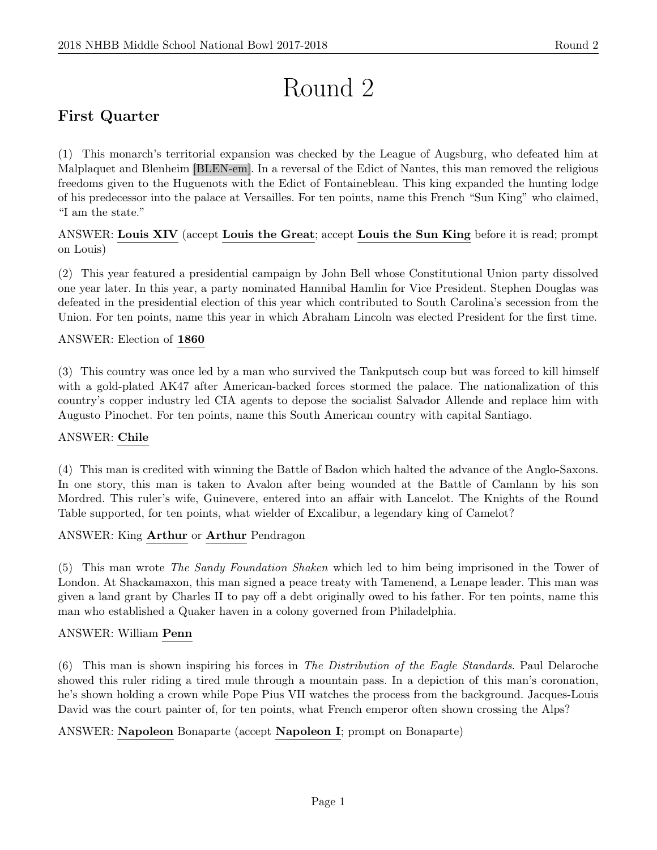# Round 2

# First Quarter

(1) This monarch's territorial expansion was checked by the League of Augsburg, who defeated him at Malplaquet and Blenheim [BLEN-em]. In a reversal of the Edict of Nantes, this man removed the religious freedoms given to the Huguenots with the Edict of Fontainebleau. This king expanded the hunting lodge of his predecessor into the palace at Versailles. For ten points, name this French "Sun King" who claimed, "I am the state."

ANSWER: Louis XIV (accept Louis the Great; accept Louis the Sun King before it is read; prompt on Louis)

(2) This year featured a presidential campaign by John Bell whose Constitutional Union party dissolved one year later. In this year, a party nominated Hannibal Hamlin for Vice President. Stephen Douglas was defeated in the presidential election of this year which contributed to South Carolina's secession from the Union. For ten points, name this year in which Abraham Lincoln was elected President for the first time.

# ANSWER: Election of 1860

(3) This country was once led by a man who survived the Tankputsch coup but was forced to kill himself with a gold-plated AK47 after American-backed forces stormed the palace. The nationalization of this country's copper industry led CIA agents to depose the socialist Salvador Allende and replace him with Augusto Pinochet. For ten points, name this South American country with capital Santiago.

# ANSWER: Chile

(4) This man is credited with winning the Battle of Badon which halted the advance of the Anglo-Saxons. In one story, this man is taken to Avalon after being wounded at the Battle of Camlann by his son Mordred. This ruler's wife, Guinevere, entered into an affair with Lancelot. The Knights of the Round Table supported, for ten points, what wielder of Excalibur, a legendary king of Camelot?

# ANSWER: King Arthur or Arthur Pendragon

(5) This man wrote The Sandy Foundation Shaken which led to him being imprisoned in the Tower of London. At Shackamaxon, this man signed a peace treaty with Tamenend, a Lenape leader. This man was given a land grant by Charles II to pay off a debt originally owed to his father. For ten points, name this man who established a Quaker haven in a colony governed from Philadelphia.

# ANSWER: William Penn

(6) This man is shown inspiring his forces in The Distribution of the Eagle Standards. Paul Delaroche showed this ruler riding a tired mule through a mountain pass. In a depiction of this man's coronation, he's shown holding a crown while Pope Pius VII watches the process from the background. Jacques-Louis David was the court painter of, for ten points, what French emperor often shown crossing the Alps?

# ANSWER: Napoleon Bonaparte (accept Napoleon I; prompt on Bonaparte)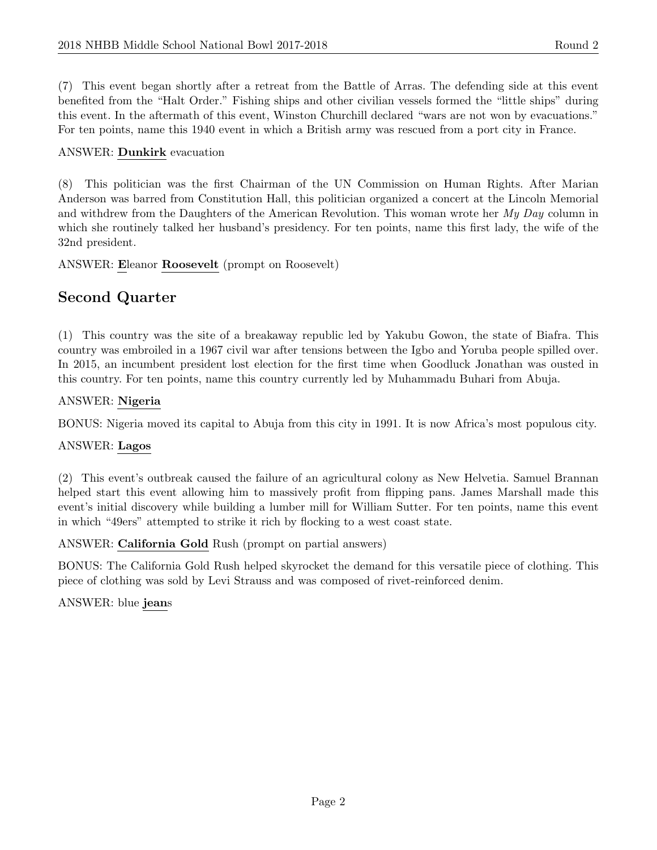(7) This event began shortly after a retreat from the Battle of Arras. The defending side at this event benefited from the "Halt Order." Fishing ships and other civilian vessels formed the "little ships" during this event. In the aftermath of this event, Winston Churchill declared "wars are not won by evacuations." For ten points, name this 1940 event in which a British army was rescued from a port city in France.

## ANSWER: Dunkirk evacuation

(8) This politician was the first Chairman of the UN Commission on Human Rights. After Marian Anderson was barred from Constitution Hall, this politician organized a concert at the Lincoln Memorial and withdrew from the Daughters of the American Revolution. This woman wrote her My Day column in which she routinely talked her husband's presidency. For ten points, name this first lady, the wife of the 32nd president.

ANSWER: Eleanor Roosevelt (prompt on Roosevelt)

# Second Quarter

(1) This country was the site of a breakaway republic led by Yakubu Gowon, the state of Biafra. This country was embroiled in a 1967 civil war after tensions between the Igbo and Yoruba people spilled over. In 2015, an incumbent president lost election for the first time when Goodluck Jonathan was ousted in this country. For ten points, name this country currently led by Muhammadu Buhari from Abuja.

## ANSWER: Nigeria

BONUS: Nigeria moved its capital to Abuja from this city in 1991. It is now Africa's most populous city.

# ANSWER: Lagos

(2) This event's outbreak caused the failure of an agricultural colony as New Helvetia. Samuel Brannan helped start this event allowing him to massively profit from flipping pans. James Marshall made this event's initial discovery while building a lumber mill for William Sutter. For ten points, name this event in which "49ers" attempted to strike it rich by flocking to a west coast state.

# ANSWER: California Gold Rush (prompt on partial answers)

BONUS: The California Gold Rush helped skyrocket the demand for this versatile piece of clothing. This piece of clothing was sold by Levi Strauss and was composed of rivet-reinforced denim.

ANSWER: blue jeans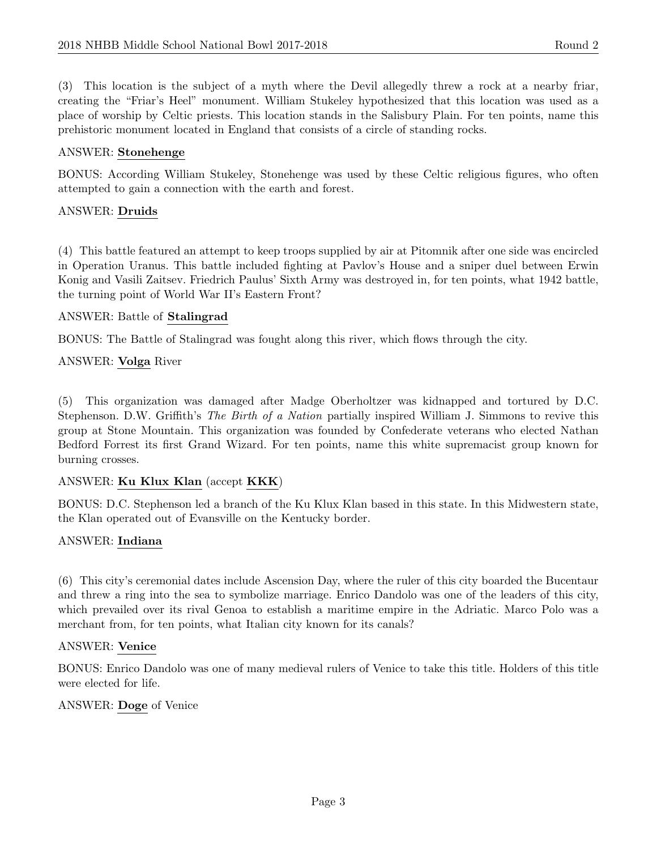(3) This location is the subject of a myth where the Devil allegedly threw a rock at a nearby friar, creating the "Friar's Heel" monument. William Stukeley hypothesized that this location was used as a place of worship by Celtic priests. This location stands in the Salisbury Plain. For ten points, name this prehistoric monument located in England that consists of a circle of standing rocks.

#### ANSWER: Stonehenge

BONUS: According William Stukeley, Stonehenge was used by these Celtic religious figures, who often attempted to gain a connection with the earth and forest.

#### ANSWER: Druids

(4) This battle featured an attempt to keep troops supplied by air at Pitomnik after one side was encircled in Operation Uranus. This battle included fighting at Pavlov's House and a sniper duel between Erwin Konig and Vasili Zaitsev. Friedrich Paulus' Sixth Army was destroyed in, for ten points, what 1942 battle, the turning point of World War II's Eastern Front?

#### ANSWER: Battle of Stalingrad

BONUS: The Battle of Stalingrad was fought along this river, which flows through the city.

#### ANSWER: Volga River

(5) This organization was damaged after Madge Oberholtzer was kidnapped and tortured by D.C. Stephenson. D.W. Griffith's The Birth of a Nation partially inspired William J. Simmons to revive this group at Stone Mountain. This organization was founded by Confederate veterans who elected Nathan Bedford Forrest its first Grand Wizard. For ten points, name this white supremacist group known for burning crosses.

#### ANSWER: Ku Klux Klan (accept KKK)

BONUS: D.C. Stephenson led a branch of the Ku Klux Klan based in this state. In this Midwestern state, the Klan operated out of Evansville on the Kentucky border.

#### ANSWER: Indiana

(6) This city's ceremonial dates include Ascension Day, where the ruler of this city boarded the Bucentaur and threw a ring into the sea to symbolize marriage. Enrico Dandolo was one of the leaders of this city, which prevailed over its rival Genoa to establish a maritime empire in the Adriatic. Marco Polo was a merchant from, for ten points, what Italian city known for its canals?

#### ANSWER: Venice

BONUS: Enrico Dandolo was one of many medieval rulers of Venice to take this title. Holders of this title were elected for life.

#### ANSWER: Doge of Venice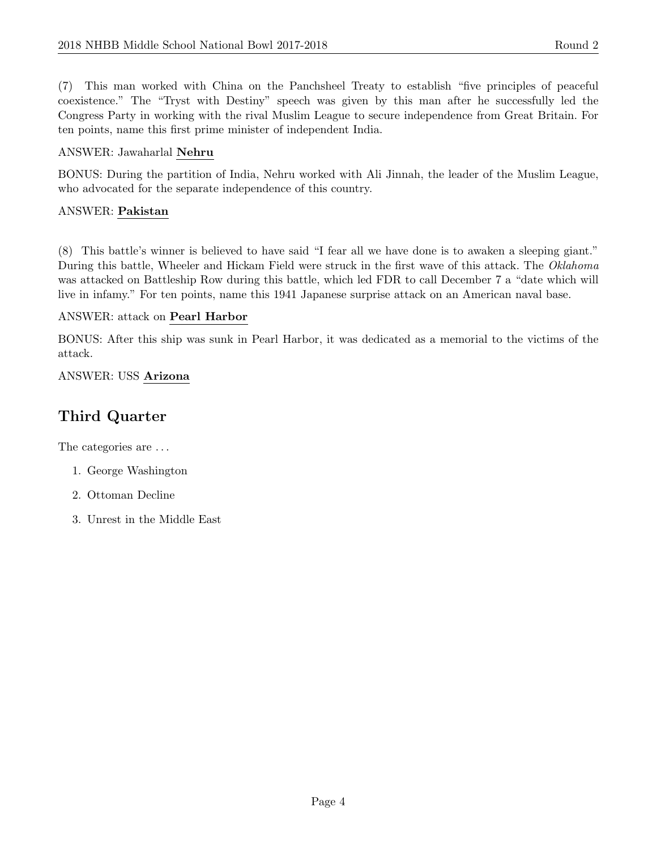(7) This man worked with China on the Panchsheel Treaty to establish "five principles of peaceful coexistence." The "Tryst with Destiny" speech was given by this man after he successfully led the Congress Party in working with the rival Muslim League to secure independence from Great Britain. For ten points, name this first prime minister of independent India.

# ANSWER: Jawaharlal Nehru

BONUS: During the partition of India, Nehru worked with Ali Jinnah, the leader of the Muslim League, who advocated for the separate independence of this country.

# ANSWER: Pakistan

(8) This battle's winner is believed to have said "I fear all we have done is to awaken a sleeping giant." During this battle, Wheeler and Hickam Field were struck in the first wave of this attack. The Oklahoma was attacked on Battleship Row during this battle, which led FDR to call December 7 a "date which will live in infamy." For ten points, name this 1941 Japanese surprise attack on an American naval base.

# ANSWER: attack on Pearl Harbor

BONUS: After this ship was sunk in Pearl Harbor, it was dedicated as a memorial to the victims of the attack.

# ANSWER: USS Arizona

# Third Quarter

The categories are  $\dots$ 

- 1. George Washington
- 2. Ottoman Decline
- 3. Unrest in the Middle East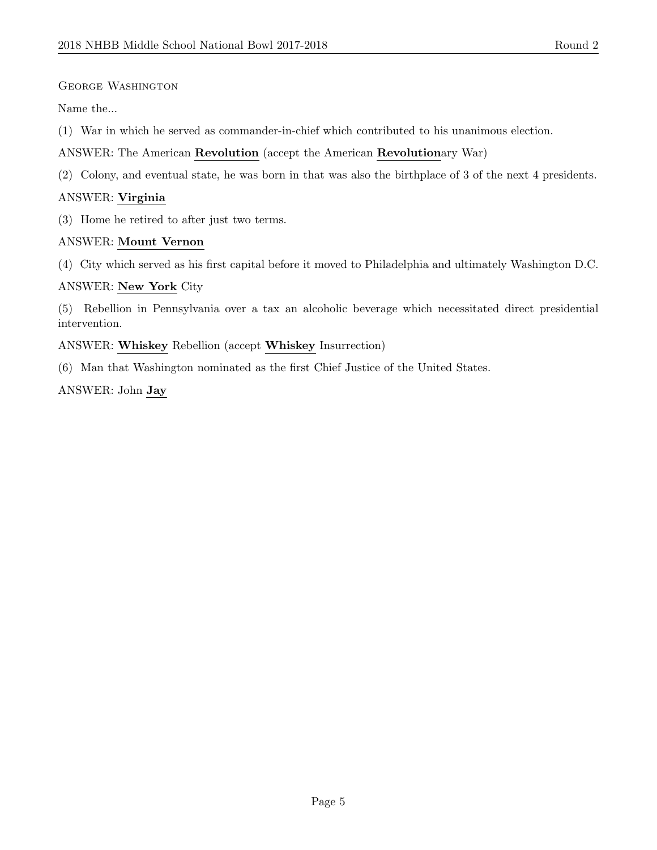#### George Washington

Name the...

- (1) War in which he served as commander-in-chief which contributed to his unanimous election.
- ANSWER: The American Revolution (accept the American Revolutionary War)
- (2) Colony, and eventual state, he was born in that was also the birthplace of 3 of the next 4 presidents.

#### ANSWER: Virginia

(3) Home he retired to after just two terms.

#### ANSWER: Mount Vernon

(4) City which served as his first capital before it moved to Philadelphia and ultimately Washington D.C.

#### ANSWER: New York City

(5) Rebellion in Pennsylvania over a tax an alcoholic beverage which necessitated direct presidential intervention.

ANSWER: Whiskey Rebellion (accept Whiskey Insurrection)

(6) Man that Washington nominated as the first Chief Justice of the United States.

ANSWER: John Jay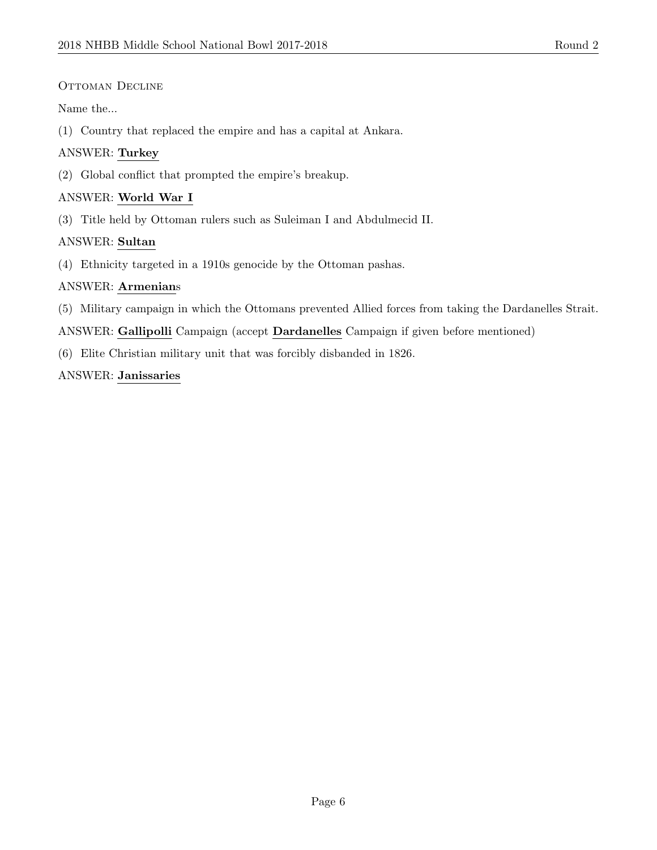# OTTOMAN DECLINE

Name the...

(1) Country that replaced the empire and has a capital at Ankara.

# ANSWER: Turkey

(2) Global conflict that prompted the empire's breakup.

# ANSWER: World War I

(3) Title held by Ottoman rulers such as Suleiman I and Abdulmecid II.

## ANSWER: Sultan

(4) Ethnicity targeted in a 1910s genocide by the Ottoman pashas.

## ANSWER: Armenians

(5) Military campaign in which the Ottomans prevented Allied forces from taking the Dardanelles Strait.

ANSWER: Gallipolli Campaign (accept Dardanelles Campaign if given before mentioned)

(6) Elite Christian military unit that was forcibly disbanded in 1826.

## ANSWER: Janissaries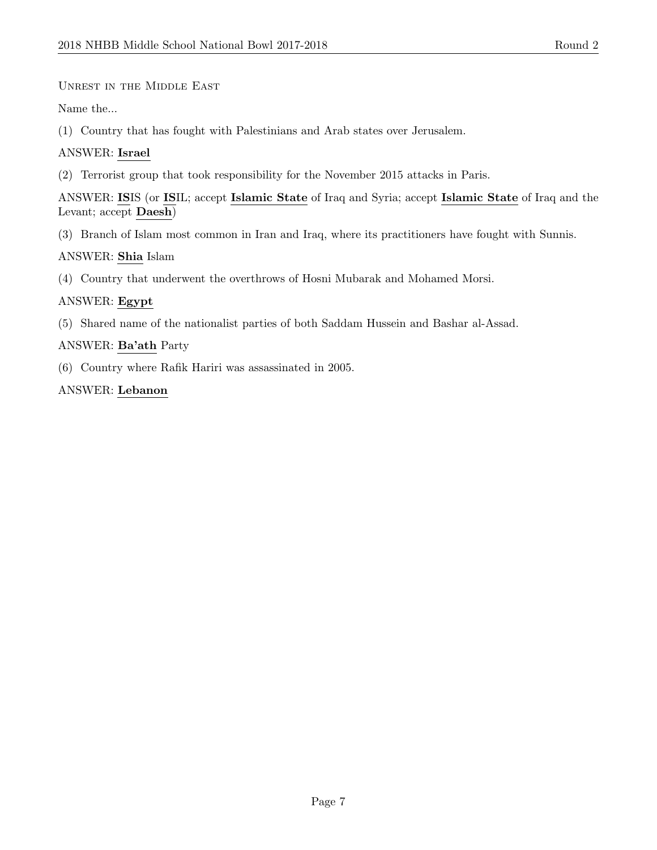Unrest in the Middle East

Name the...

(1) Country that has fought with Palestinians and Arab states over Jerusalem.

#### ANSWER: Israel

(2) Terrorist group that took responsibility for the November 2015 attacks in Paris.

ANSWER: ISIS (or ISIL; accept Islamic State of Iraq and Syria; accept Islamic State of Iraq and the Levant; accept Daesh)

(3) Branch of Islam most common in Iran and Iraq, where its practitioners have fought with Sunnis.

#### ANSWER: Shia Islam

(4) Country that underwent the overthrows of Hosni Mubarak and Mohamed Morsi.

#### ANSWER: Egypt

(5) Shared name of the nationalist parties of both Saddam Hussein and Bashar al-Assad.

#### ANSWER: Ba'ath Party

(6) Country where Rafik Hariri was assassinated in 2005.

#### ANSWER: Lebanon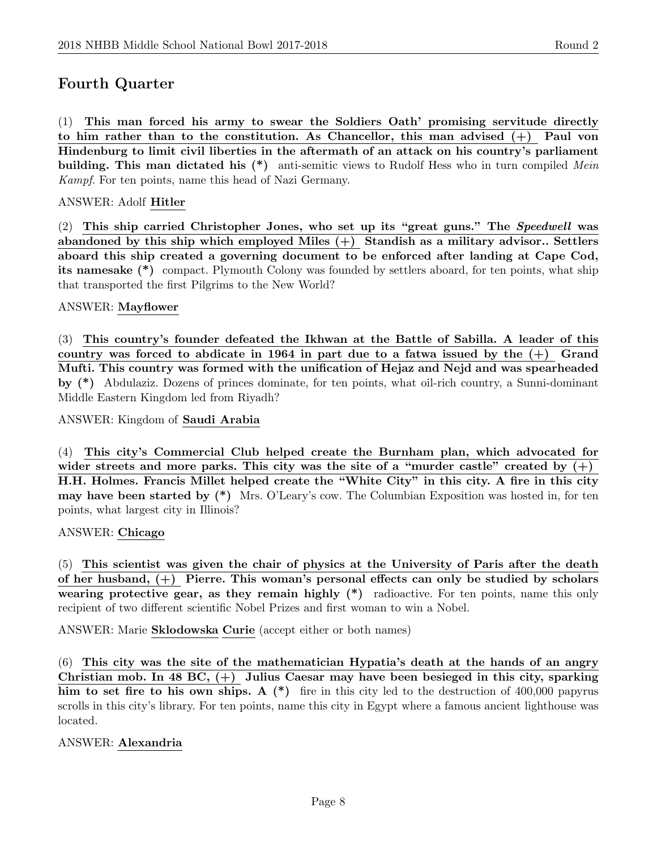# Fourth Quarter

(1) This man forced his army to swear the Soldiers Oath' promising servitude directly to him rather than to the constitution. As Chancellor, this man advised  $(+)$  Paul von Hindenburg to limit civil liberties in the aftermath of an attack on his country's parliament building. This man dictated his  $(*)$  anti-semitic views to Rudolf Hess who in turn compiled Mein Kampf. For ten points, name this head of Nazi Germany.

#### ANSWER: Adolf Hitler

(2) This ship carried Christopher Jones, who set up its "great guns." The Speedwell was abandoned by this ship which employed Miles  $(+)$  Standish as a military advisor.. Settlers aboard this ship created a governing document to be enforced after landing at Cape Cod, its namesake (\*) compact. Plymouth Colony was founded by settlers aboard, for ten points, what ship that transported the first Pilgrims to the New World?

#### ANSWER: Mayflower

(3) This country's founder defeated the Ikhwan at the Battle of Sabilla. A leader of this country was forced to abdicate in 1964 in part due to a fatwa issued by the  $(+)$  Grand Mufti. This country was formed with the unification of Hejaz and Nejd and was spearheaded by (\*) Abdulaziz. Dozens of princes dominate, for ten points, what oil-rich country, a Sunni-dominant Middle Eastern Kingdom led from Riyadh?

ANSWER: Kingdom of Saudi Arabia

(4) This city's Commercial Club helped create the Burnham plan, which advocated for wider streets and more parks. This city was the site of a "murder castle" created by  $(+)$ H.H. Holmes. Francis Millet helped create the "White City" in this city. A fire in this city may have been started by (\*) Mrs. O'Leary's cow. The Columbian Exposition was hosted in, for ten points, what largest city in Illinois?

#### ANSWER: Chicago

(5) This scientist was given the chair of physics at the University of Paris after the death of her husband, (+) Pierre. This woman's personal effects can only be studied by scholars wearing protective gear, as they remain highly  $(*)$  radioactive. For ten points, name this only recipient of two different scientific Nobel Prizes and first woman to win a Nobel.

ANSWER: Marie Sklodowska Curie (accept either or both names)

(6) This city was the site of the mathematician Hypatia's death at the hands of an angry Christian mob. In 48 BC, (+) Julius Caesar may have been besieged in this city, sparking him to set fire to his own ships. A  $(*)$  fire in this city led to the destruction of 400,000 papyrus scrolls in this city's library. For ten points, name this city in Egypt where a famous ancient lighthouse was located.

#### ANSWER: Alexandria